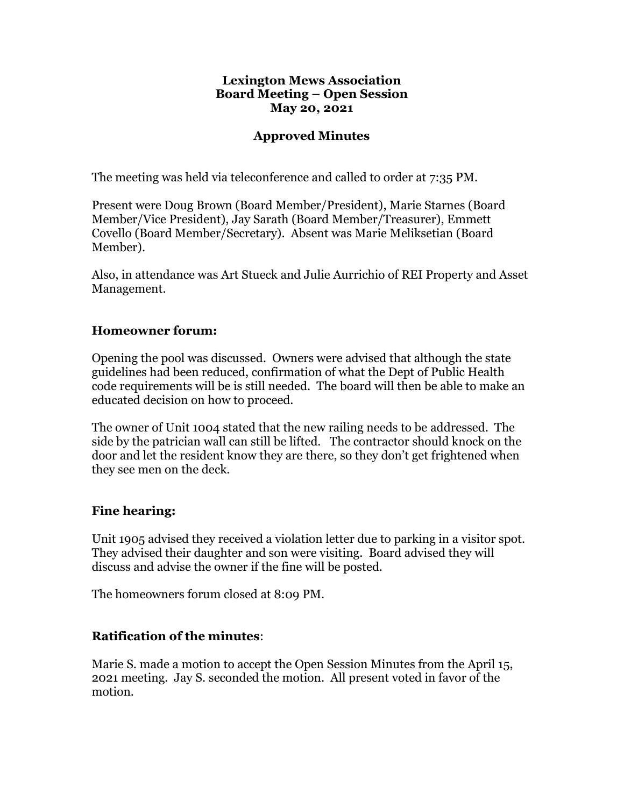#### **Lexington Mews Association Board Meeting – Open Session May 20, 2021**

### **Approved Minutes**

The meeting was held via teleconference and called to order at 7:35 PM.

Present were Doug Brown (Board Member/President), Marie Starnes (Board Member/Vice President), Jay Sarath (Board Member/Treasurer), Emmett Covello (Board Member/Secretary). Absent was Marie Meliksetian (Board Member).

Also, in attendance was Art Stueck and Julie Aurrichio of REI Property and Asset Management.

### **Homeowner forum:**

Opening the pool was discussed. Owners were advised that although the state guidelines had been reduced, confirmation of what the Dept of Public Health code requirements will be is still needed. The board will then be able to make an educated decision on how to proceed.

The owner of Unit 1004 stated that the new railing needs to be addressed. The side by the patrician wall can still be lifted. The contractor should knock on the door and let the resident know they are there, so they don't get frightened when they see men on the deck.

### **Fine hearing:**

Unit 1905 advised they received a violation letter due to parking in a visitor spot. They advised their daughter and son were visiting. Board advised they will discuss and advise the owner if the fine will be posted.

The homeowners forum closed at 8:09 PM.

## **Ratification of the minutes**:

Marie S. made a motion to accept the Open Session Minutes from the April 15, 2021 meeting. Jay S. seconded the motion. All present voted in favor of the motion.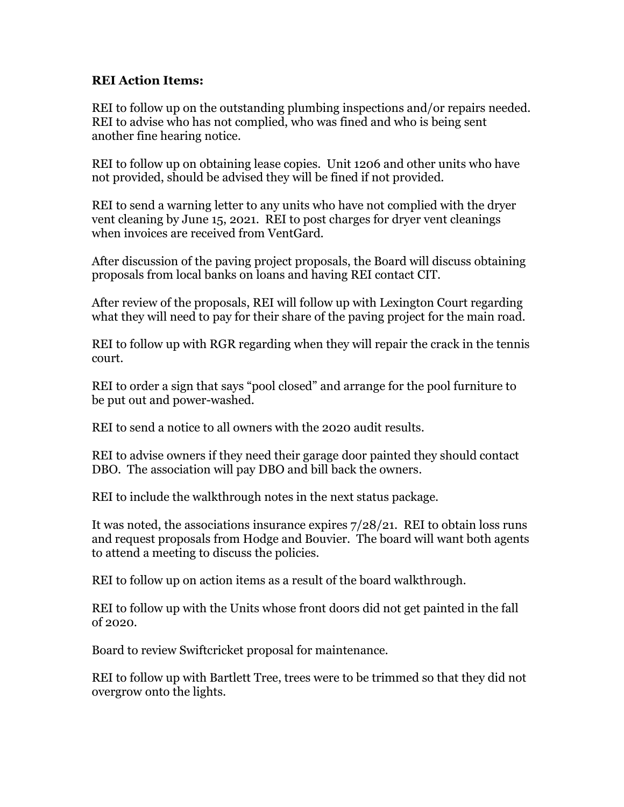### **REI Action Items:**

REI to follow up on the outstanding plumbing inspections and/or repairs needed. REI to advise who has not complied, who was fined and who is being sent another fine hearing notice.

REI to follow up on obtaining lease copies. Unit 1206 and other units who have not provided, should be advised they will be fined if not provided.

REI to send a warning letter to any units who have not complied with the dryer vent cleaning by June 15, 2021. REI to post charges for dryer vent cleanings when invoices are received from VentGard.

After discussion of the paving project proposals, the Board will discuss obtaining proposals from local banks on loans and having REI contact CIT.

After review of the proposals, REI will follow up with Lexington Court regarding what they will need to pay for their share of the paving project for the main road.

REI to follow up with RGR regarding when they will repair the crack in the tennis court.

REI to order a sign that says "pool closed" and arrange for the pool furniture to be put out and power-washed.

REI to send a notice to all owners with the 2020 audit results.

REI to advise owners if they need their garage door painted they should contact DBO. The association will pay DBO and bill back the owners.

REI to include the walkthrough notes in the next status package.

It was noted, the associations insurance expires 7/28/21. REI to obtain loss runs and request proposals from Hodge and Bouvier. The board will want both agents to attend a meeting to discuss the policies.

REI to follow up on action items as a result of the board walkthrough.

REI to follow up with the Units whose front doors did not get painted in the fall of 2020.

Board to review Swiftcricket proposal for maintenance.

REI to follow up with Bartlett Tree, trees were to be trimmed so that they did not overgrow onto the lights.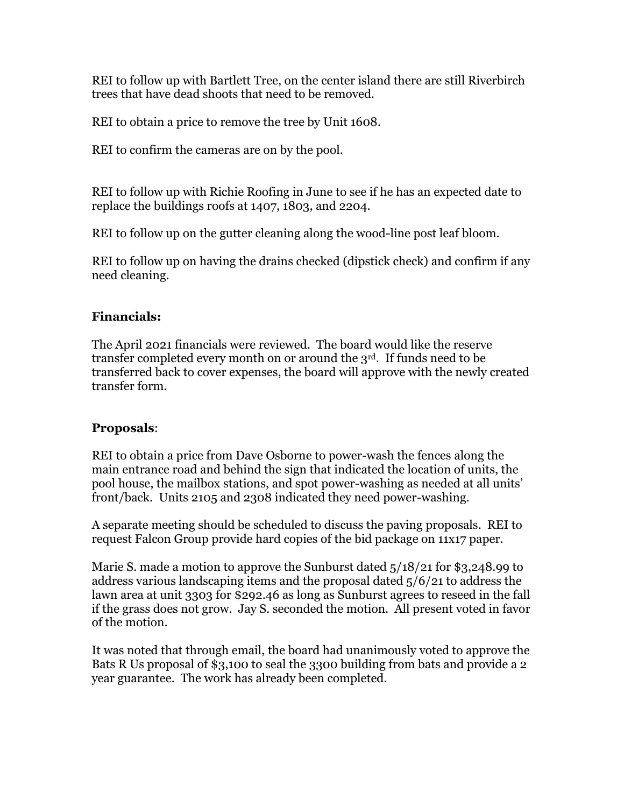REI to follow up with Bartlett Tree, on the center island there are still Riverbirch trees that have dead shoots that need to be removed.

REI to obtain a price to remove the tree by Unit 1608.

REI to confirm the cameras are on by the pool.

REI to follow up with Richie Roofing in June to see if he has an expected date to replace the buildings roofs at 1407, 1803, and 2204.

REI to follow up on the gutter cleaning along the wood-line post leaf bloom.

REI to follow up on having the drains checked (dipstick check) and confirm if any need cleaning.

### **Financials:**

The April 2021 financials were reviewed. The board would like the reserve transfer completed every month on or around the 3rd. If funds need to be transferred back to cover expenses, the board will approve with the newly created transfer form.

## **Proposals**:

REI to obtain a price from Dave Osborne to power-wash the fences along the main entrance road and behind the sign that indicated the location of units, the pool house, the mailbox stations, and spot power-washing as needed at all units' front/back. Units 2105 and 2308 indicated they need power-washing.

A separate meeting should be scheduled to discuss the paving proposals. REI to request Falcon Group provide hard copies of the bid package on 11x17 paper.

Marie S. made a motion to approve the Sunburst dated 5/18/21 for \$3,248.99 to address various landscaping items and the proposal dated 5/6/21 to address the lawn area at unit 3303 for \$292.46 as long as Sunburst agrees to reseed in the fall if the grass does not grow. Jay S. seconded the motion. All present voted in favor of the motion.

It was noted that through email, the board had unanimously voted to approve the Bats R Us proposal of \$3,100 to seal the 3300 building from bats and provide a 2 year guarantee. The work has already been completed.